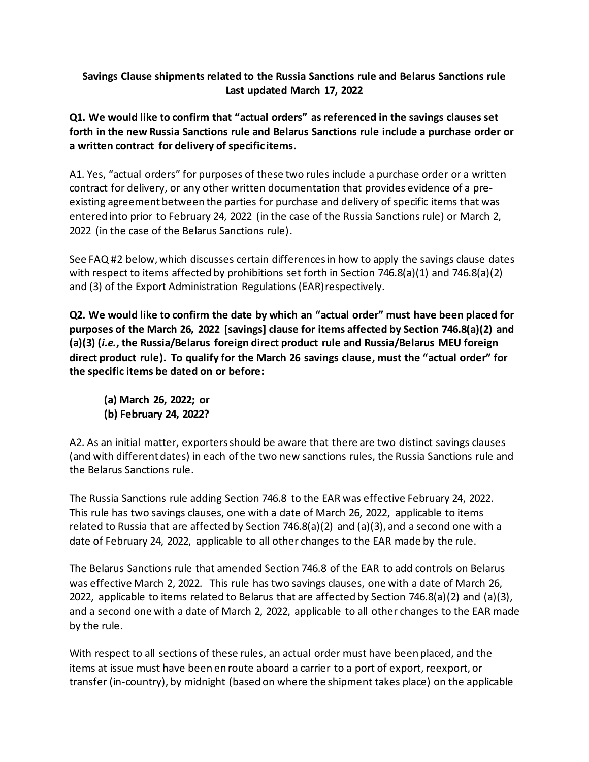## **Savings Clause shipments related to the Russia Sanctions rule and Belarus Sanctions rule Last updated March 17, 2022**

**Q1. We would like to confirm that "actual orders" as referenced in the savings clauses set forth in the new Russia Sanctions rule and Belarus Sanctions rule include a purchase order or a written contract for delivery of specific items.**

A1. Yes, "actual orders" for purposes of these two rules include a purchase order or a written contract for delivery, or any other written documentation that provides evidence of a preexisting agreement between the parties for purchase and delivery of specific items that was entered into prior to February 24, 2022 (in the case of the Russia Sanctions rule) or March 2, 2022 (in the case of the Belarus Sanctions rule).

See FAQ #2 below, which discusses certain differences in how to apply the savings clause dates with respect to items affected by prohibitions set forth in Section 746.8(a)(1) and 746.8(a)(2) and (3) of the Export Administration Regulations (EAR)respectively.

**Q2. We would like to confirm the date by which an "actual order" must have been placed for purposes of the March 26, 2022 [savings] clause for items affected by Section 746.8(a)(2) and (a)(3) (***i.e.***, the Russia/Belarus foreign direct product rule and Russia/Belarus MEU foreign direct product rule). To qualify for the March 26 savings clause, must the "actual order" for the specific items be dated on or before:**

**(a) March 26, 2022; or (b) February 24, 2022?**

A2. As an initial matter, exporters should be aware that there are two distinct savings clauses (and with different dates) in each of the two new sanctions rules, the Russia Sanctions rule and the Belarus Sanctions rule.

The Russia Sanctions rule adding Section 746.8 to the EAR was effective February 24, 2022. This rule has two savings clauses, one with a date of March 26, 2022, applicable to items related to Russia that are affected by Section 746.8(a)(2) and (a)(3), and a second one with a date of February 24, 2022, applicable to all other changes to the EAR made by the rule.

The Belarus Sanctions rule that amended Section 746.8 of the EAR to add controls on Belarus was effective March 2, 2022. This rule has two savings clauses, one with a date of March 26, 2022, applicable to items related to Belarus that are affected by Section 746.8(a)(2) and (a)(3), and a second one with a date of March 2, 2022, applicable to all other changes to the EAR made by the rule.

With respect to all sections of these rules, an actual order must have been placed, and the items at issue must have been en route aboard a carrier to a port of export, reexport, or transfer (in-country), by midnight (based on where the shipment takes place) on the applicable